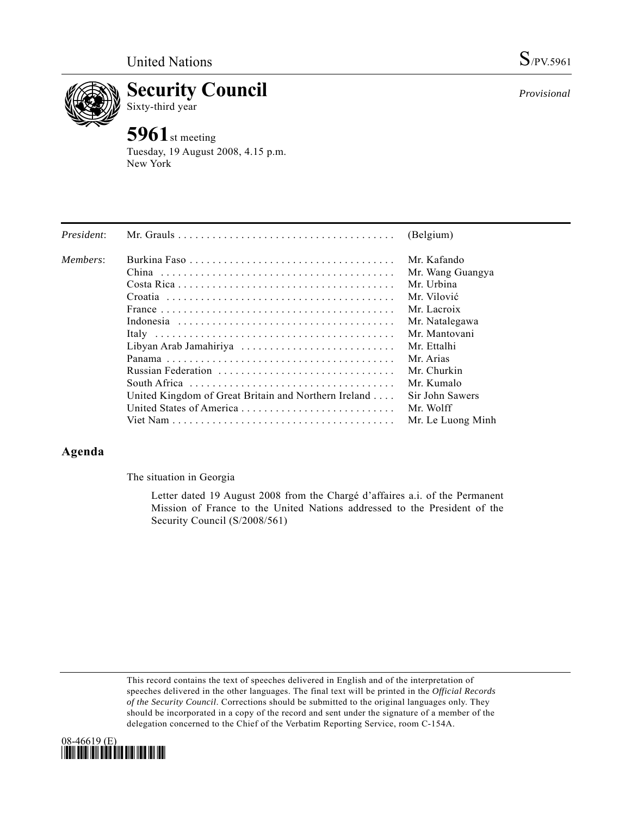

**Security Council** 

Sixty-third year

## **5961**st meeting

Tuesday, 19 August 2008, 4.15 p.m. New York

|                                                      | (Belgium)              |
|------------------------------------------------------|------------------------|
|                                                      | Mr. Kafando            |
|                                                      | Mr. Wang Guangya       |
|                                                      | Mr. Urbina             |
|                                                      | Mr. Vilović            |
|                                                      | Mr Lacroix             |
|                                                      | Mr. Natalegawa         |
|                                                      | Mr. Mantovani          |
|                                                      | Mr. Ettalhi            |
|                                                      | Mr. Arias              |
| Russian Federation                                   | Mr. Churkin            |
|                                                      | Mr Kumalo              |
| United Kingdom of Great Britain and Northern Ireland | Sir John Sawers        |
| United States of America                             | Mr. Wolff              |
|                                                      | Mr. Le Luong Minh      |
|                                                      | Libyan Arab Jamahiriya |

## **Agenda**

The situation in Georgia

 Letter dated 19 August 2008 from the Chargé d'affaires a.i. of the Permanent Mission of France to the United Nations addressed to the President of the Security Council (S/2008/561)

This record contains the text of speeches delivered in English and of the interpretation of speeches delivered in the other languages. The final text will be printed in the *Official Records of the Security Council*. Corrections should be submitted to the original languages only. They should be incorporated in a copy of the record and sent under the signature of a member of the delegation concerned to the Chief of the Verbatim Reporting Service, room C-154A.



*Provisional*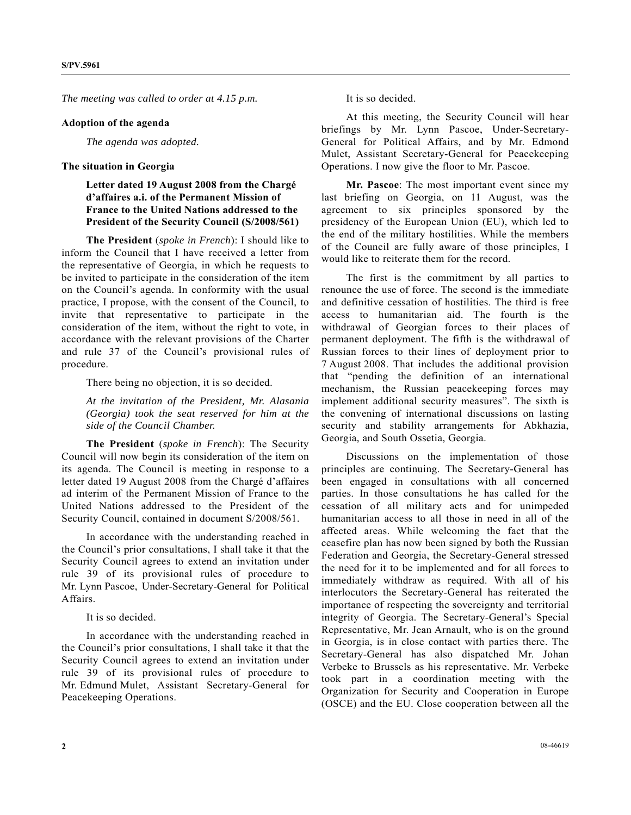*The meeting was called to order at 4.15 p.m.* 

## **Adoption of the agenda**

*The agenda was adopted.* 

## **The situation in Georgia**

 **Letter dated 19 August 2008 from the Chargé d'affaires a.i. of the Permanent Mission of France to the United Nations addressed to the President of the Security Council (S/2008/561)** 

 **The President** (*spoke in French*): I should like to inform the Council that I have received a letter from the representative of Georgia, in which he requests to be invited to participate in the consideration of the item on the Council's agenda. In conformity with the usual practice, I propose, with the consent of the Council, to invite that representative to participate in the consideration of the item, without the right to vote, in accordance with the relevant provisions of the Charter and rule 37 of the Council's provisional rules of procedure.

There being no objection, it is so decided.

*At the invitation of the President, Mr. Alasania (Georgia) took the seat reserved for him at the side of the Council Chamber.* 

 **The President** (*spoke in French*): The Security Council will now begin its consideration of the item on its agenda. The Council is meeting in response to a letter dated 19 August 2008 from the Chargé d'affaires ad interim of the Permanent Mission of France to the United Nations addressed to the President of the Security Council, contained in document S/2008/561.

 In accordance with the understanding reached in the Council's prior consultations, I shall take it that the Security Council agrees to extend an invitation under rule 39 of its provisional rules of procedure to Mr. Lynn Pascoe, Under-Secretary-General for Political Affairs.

It is so decided.

 In accordance with the understanding reached in the Council's prior consultations, I shall take it that the Security Council agrees to extend an invitation under rule 39 of its provisional rules of procedure to Mr. Edmund Mulet, Assistant Secretary-General for Peacekeeping Operations.

It is so decided.

 At this meeting, the Security Council will hear briefings by Mr. Lynn Pascoe, Under-Secretary-General for Political Affairs, and by Mr. Edmond Mulet, Assistant Secretary-General for Peacekeeping Operations. I now give the floor to Mr. Pascoe.

 **Mr. Pascoe**: The most important event since my last briefing on Georgia, on 11 August, was the agreement to six principles sponsored by the presidency of the European Union (EU), which led to the end of the military hostilities. While the members of the Council are fully aware of those principles, I would like to reiterate them for the record.

 The first is the commitment by all parties to renounce the use of force. The second is the immediate and definitive cessation of hostilities. The third is free access to humanitarian aid. The fourth is the withdrawal of Georgian forces to their places of permanent deployment. The fifth is the withdrawal of Russian forces to their lines of deployment prior to 7 August 2008. That includes the additional provision that "pending the definition of an international mechanism, the Russian peacekeeping forces may implement additional security measures". The sixth is the convening of international discussions on lasting security and stability arrangements for Abkhazia, Georgia, and South Ossetia, Georgia.

 Discussions on the implementation of those principles are continuing. The Secretary-General has been engaged in consultations with all concerned parties. In those consultations he has called for the cessation of all military acts and for unimpeded humanitarian access to all those in need in all of the affected areas. While welcoming the fact that the ceasefire plan has now been signed by both the Russian Federation and Georgia, the Secretary-General stressed the need for it to be implemented and for all forces to immediately withdraw as required. With all of his interlocutors the Secretary-General has reiterated the importance of respecting the sovereignty and territorial integrity of Georgia. The Secretary-General's Special Representative, Mr. Jean Arnault, who is on the ground in Georgia, is in close contact with parties there. The Secretary-General has also dispatched Mr. Johan Verbeke to Brussels as his representative. Mr. Verbeke took part in a coordination meeting with the Organization for Security and Cooperation in Europe (OSCE) and the EU. Close cooperation between all the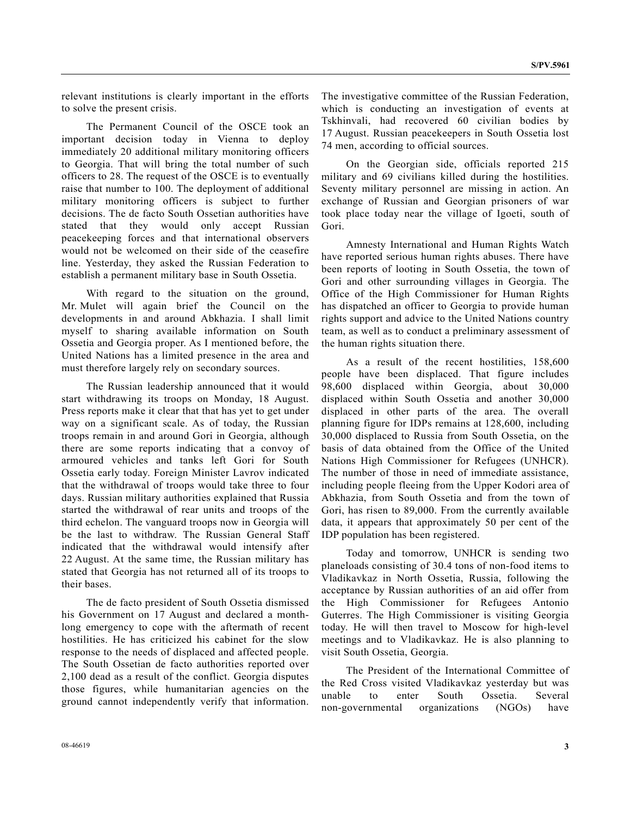relevant institutions is clearly important in the efforts to solve the present crisis.

 The Permanent Council of the OSCE took an important decision today in Vienna to deploy immediately 20 additional military monitoring officers to Georgia. That will bring the total number of such officers to 28. The request of the OSCE is to eventually raise that number to 100. The deployment of additional military monitoring officers is subject to further decisions. The de facto South Ossetian authorities have stated that they would only accept Russian peacekeeping forces and that international observers would not be welcomed on their side of the ceasefire line. Yesterday, they asked the Russian Federation to establish a permanent military base in South Ossetia.

 With regard to the situation on the ground, Mr. Mulet will again brief the Council on the developments in and around Abkhazia. I shall limit myself to sharing available information on South Ossetia and Georgia proper. As I mentioned before, the United Nations has a limited presence in the area and must therefore largely rely on secondary sources.

 The Russian leadership announced that it would start withdrawing its troops on Monday, 18 August. Press reports make it clear that that has yet to get under way on a significant scale. As of today, the Russian troops remain in and around Gori in Georgia, although there are some reports indicating that a convoy of armoured vehicles and tanks left Gori for South Ossetia early today. Foreign Minister Lavrov indicated that the withdrawal of troops would take three to four days. Russian military authorities explained that Russia started the withdrawal of rear units and troops of the third echelon. The vanguard troops now in Georgia will be the last to withdraw. The Russian General Staff indicated that the withdrawal would intensify after 22 August. At the same time, the Russian military has stated that Georgia has not returned all of its troops to their bases.

 The de facto president of South Ossetia dismissed his Government on 17 August and declared a monthlong emergency to cope with the aftermath of recent hostilities. He has criticized his cabinet for the slow response to the needs of displaced and affected people. The South Ossetian de facto authorities reported over 2,100 dead as a result of the conflict. Georgia disputes those figures, while humanitarian agencies on the ground cannot independently verify that information. The investigative committee of the Russian Federation, which is conducting an investigation of events at Tskhinvali, had recovered 60 civilian bodies by 17 August. Russian peacekeepers in South Ossetia lost 74 men, according to official sources.

 On the Georgian side, officials reported 215 military and 69 civilians killed during the hostilities. Seventy military personnel are missing in action. An exchange of Russian and Georgian prisoners of war took place today near the village of Igoeti, south of Gori.

 Amnesty International and Human Rights Watch have reported serious human rights abuses. There have been reports of looting in South Ossetia, the town of Gori and other surrounding villages in Georgia. The Office of the High Commissioner for Human Rights has dispatched an officer to Georgia to provide human rights support and advice to the United Nations country team, as well as to conduct a preliminary assessment of the human rights situation there.

 As a result of the recent hostilities, 158,600 people have been displaced. That figure includes 98,600 displaced within Georgia, about 30,000 displaced within South Ossetia and another 30,000 displaced in other parts of the area. The overall planning figure for IDPs remains at 128,600, including 30,000 displaced to Russia from South Ossetia, on the basis of data obtained from the Office of the United Nations High Commissioner for Refugees (UNHCR). The number of those in need of immediate assistance, including people fleeing from the Upper Kodori area of Abkhazia, from South Ossetia and from the town of Gori, has risen to 89,000. From the currently available data, it appears that approximately 50 per cent of the IDP population has been registered.

 Today and tomorrow, UNHCR is sending two planeloads consisting of 30.4 tons of non-food items to Vladikavkaz in North Ossetia, Russia, following the acceptance by Russian authorities of an aid offer from the High Commissioner for Refugees Antonio Guterres. The High Commissioner is visiting Georgia today. He will then travel to Moscow for high-level meetings and to Vladikavkaz. He is also planning to visit South Ossetia, Georgia.

 The President of the International Committee of the Red Cross visited Vladikavkaz yesterday but was unable to enter South Ossetia. Several non-governmental organizations (NGOs) have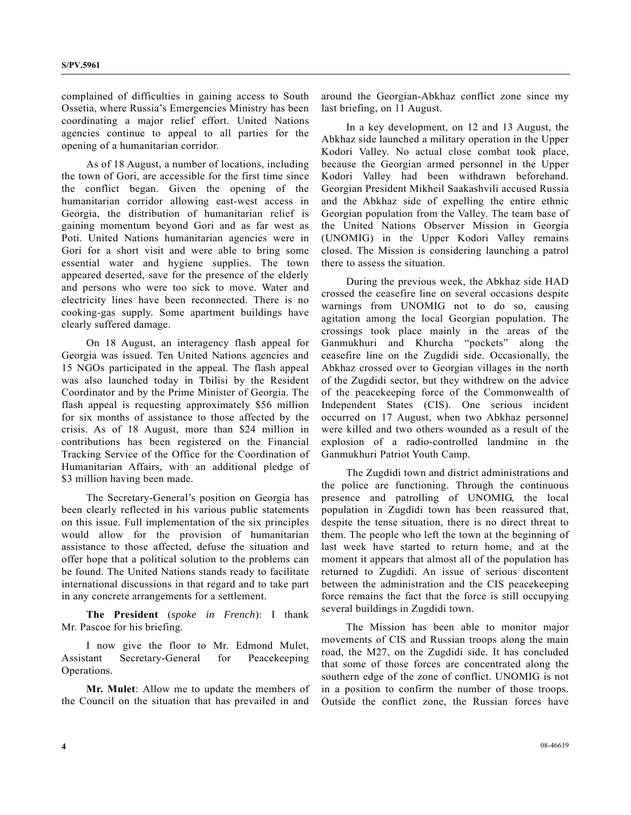complained of difficulties in gaining access to South Ossetia, where Russia's Emergencies Ministry has been coordinating a major relief effort. United Nations agencies continue to appeal to all parties for the opening of a humanitarian corridor.

 As of 18 August, a number of locations, including the town of Gori, are accessible for the first time since the conflict began. Given the opening of the humanitarian corridor allowing east-west access in Georgia, the distribution of humanitarian relief is gaining momentum beyond Gori and as far west as Poti. United Nations humanitarian agencies were in Gori for a short visit and were able to bring some essential water and hygiene supplies. The town appeared deserted, save for the presence of the elderly and persons who were too sick to move. Water and electricity lines have been reconnected. There is no cooking-gas supply. Some apartment buildings have clearly suffered damage.

 On 18 August, an interagency flash appeal for Georgia was issued. Ten United Nations agencies and 15 NGOs participated in the appeal. The flash appeal was also launched today in Tbilisi by the Resident Coordinator and by the Prime Minister of Georgia. The flash appeal is requesting approximately \$56 million for six months of assistance to those affected by the crisis. As of 18 August, more than \$24 million in contributions has been registered on the Financial Tracking Service of the Office for the Coordination of Humanitarian Affairs, with an additional pledge of \$3 million having been made.

 The Secretary-General's position on Georgia has been clearly reflected in his various public statements on this issue. Full implementation of the six principles would allow for the provision of humanitarian assistance to those affected, defuse the situation and offer hope that a political solution to the problems can be found. The United Nations stands ready to facilitate international discussions in that regard and to take part in any concrete arrangements for a settlement.

**The President** (*spoke in French*): I thank Mr. Pascoe for his briefing.

 I now give the floor to Mr. Edmond Mulet, Assistant Secretary-General for Peacekeeping Operations.

**Mr. Mulet**: Allow me to update the members of the Council on the situation that has prevailed in and

around the Georgian-Abkhaz conflict zone since my last briefing, on 11 August.

 In a key development, on 12 and 13 August, the Abkhaz side launched a military operation in the Upper Kodori Valley. No actual close combat took place, because the Georgian armed personnel in the Upper Kodori Valley had been withdrawn beforehand. Georgian President Mikheil Saakashvili accused Russia and the Abkhaz side of expelling the entire ethnic Georgian population from the Valley. The team base of the United Nations Observer Mission in Georgia (UNOMIG) in the Upper Kodori Valley remains closed. The Mission is considering launching a patrol there to assess the situation.

 During the previous week, the Abkhaz side HAD crossed the ceasefire line on several occasions despite warnings from UNOMIG not to do so, causing agitation among the local Georgian population. The crossings took place mainly in the areas of the Ganmukhuri and Khurcha "pockets" along the ceasefire line on the Zugdidi side. Occasionally, the Abkhaz crossed over to Georgian villages in the north of the Zugdidi sector, but they withdrew on the advice of the peacekeeping force of the Commonwealth of Independent States (CIS). One serious incident occurred on 17 August, when two Abkhaz personnel were killed and two others wounded as a result of the explosion of a radio-controlled landmine in the Ganmukhuri Patriot Youth Camp.

 The Zugdidi town and district administrations and the police are functioning. Through the continuous presence and patrolling of UNOMIG, the local population in Zugdidi town has been reassured that, despite the tense situation, there is no direct threat to them. The people who left the town at the beginning of last week have started to return home, and at the moment it appears that almost all of the population has returned to Zugdidi. An issue of serious discontent between the administration and the CIS peacekeeping force remains the fact that the force is still occupying several buildings in Zugdidi town.

 The Mission has been able to monitor major movements of CIS and Russian troops along the main road, the M27, on the Zugdidi side. It has concluded that some of those forces are concentrated along the southern edge of the zone of conflict. UNOMIG is not in a position to confirm the number of those troops. Outside the conflict zone, the Russian forces have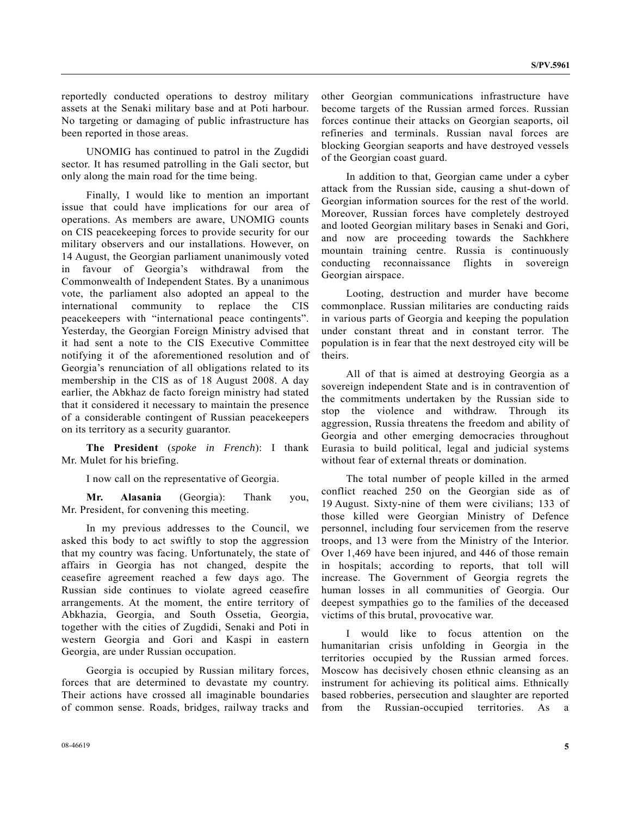reportedly conducted operations to destroy military assets at the Senaki military base and at Poti harbour. No targeting or damaging of public infrastructure has been reported in those areas.

 UNOMIG has continued to patrol in the Zugdidi sector. It has resumed patrolling in the Gali sector, but only along the main road for the time being.

 Finally, I would like to mention an important issue that could have implications for our area of operations. As members are aware, UNOMIG counts on CIS peacekeeping forces to provide security for our military observers and our installations. However, on 14 August, the Georgian parliament unanimously voted in favour of Georgia's withdrawal from the Commonwealth of Independent States. By a unanimous vote, the parliament also adopted an appeal to the international community to replace the CIS peacekeepers with "international peace contingents". Yesterday, the Georgian Foreign Ministry advised that it had sent a note to the CIS Executive Committee notifying it of the aforementioned resolution and of Georgia's renunciation of all obligations related to its membership in the CIS as of 18 August 2008. A day earlier, the Abkhaz de facto foreign ministry had stated that it considered it necessary to maintain the presence of a considerable contingent of Russian peacekeepers on its territory as a security guarantor.

**The President** (*spoke in French*): I thank Mr. Mulet for his briefing.

I now call on the representative of Georgia.

**Mr. Alasania** (Georgia): Thank you, Mr. President, for convening this meeting.

 In my previous addresses to the Council, we asked this body to act swiftly to stop the aggression that my country was facing. Unfortunately, the state of affairs in Georgia has not changed, despite the ceasefire agreement reached a few days ago. The Russian side continues to violate agreed ceasefire arrangements. At the moment, the entire territory of Abkhazia, Georgia, and South Ossetia, Georgia, together with the cities of Zugdidi, Senaki and Poti in western Georgia and Gori and Kaspi in eastern Georgia, are under Russian occupation.

 Georgia is occupied by Russian military forces, forces that are determined to devastate my country. Their actions have crossed all imaginable boundaries of common sense. Roads, bridges, railway tracks and other Georgian communications infrastructure have become targets of the Russian armed forces. Russian forces continue their attacks on Georgian seaports, oil refineries and terminals. Russian naval forces are blocking Georgian seaports and have destroyed vessels of the Georgian coast guard.

 In addition to that, Georgian came under a cyber attack from the Russian side, causing a shut-down of Georgian information sources for the rest of the world. Moreover, Russian forces have completely destroyed and looted Georgian military bases in Senaki and Gori, and now are proceeding towards the Sachkhere mountain training centre. Russia is continuously conducting reconnaissance flights in sovereign Georgian airspace.

 Looting, destruction and murder have become commonplace. Russian militaries are conducting raids in various parts of Georgia and keeping the population under constant threat and in constant terror. The population is in fear that the next destroyed city will be theirs.

 All of that is aimed at destroying Georgia as a sovereign independent State and is in contravention of the commitments undertaken by the Russian side to stop the violence and withdraw. Through its aggression, Russia threatens the freedom and ability of Georgia and other emerging democracies throughout Eurasia to build political, legal and judicial systems without fear of external threats or domination.

 The total number of people killed in the armed conflict reached 250 on the Georgian side as of 19 August. Sixty-nine of them were civilians; 133 of those killed were Georgian Ministry of Defence personnel, including four servicemen from the reserve troops, and 13 were from the Ministry of the Interior. Over 1,469 have been injured, and 446 of those remain in hospitals; according to reports, that toll will increase. The Government of Georgia regrets the human losses in all communities of Georgia. Our deepest sympathies go to the families of the deceased victims of this brutal, provocative war.

 I would like to focus attention on the humanitarian crisis unfolding in Georgia in the territories occupied by the Russian armed forces. Moscow has decisively chosen ethnic cleansing as an instrument for achieving its political aims. Ethnically based robberies, persecution and slaughter are reported from the Russian-occupied territories. As a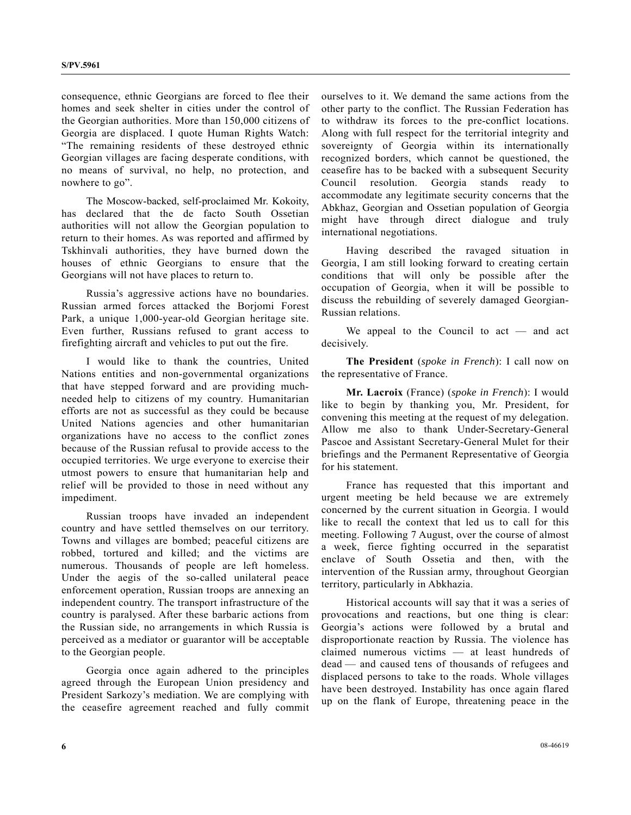consequence, ethnic Georgians are forced to flee their homes and seek shelter in cities under the control of the Georgian authorities. More than 150,000 citizens of Georgia are displaced. I quote Human Rights Watch: "The remaining residents of these destroyed ethnic Georgian villages are facing desperate conditions, with no means of survival, no help, no protection, and nowhere to go".

 The Moscow-backed, self-proclaimed Mr. Kokoity, has declared that the de facto South Ossetian authorities will not allow the Georgian population to return to their homes. As was reported and affirmed by Tskhinvali authorities, they have burned down the houses of ethnic Georgians to ensure that the Georgians will not have places to return to.

 Russia's aggressive actions have no boundaries. Russian armed forces attacked the Borjomi Forest Park, a unique 1,000-year-old Georgian heritage site. Even further, Russians refused to grant access to firefighting aircraft and vehicles to put out the fire.

 I would like to thank the countries, United Nations entities and non-governmental organizations that have stepped forward and are providing muchneeded help to citizens of my country. Humanitarian efforts are not as successful as they could be because United Nations agencies and other humanitarian organizations have no access to the conflict zones because of the Russian refusal to provide access to the occupied territories. We urge everyone to exercise their utmost powers to ensure that humanitarian help and relief will be provided to those in need without any impediment.

 Russian troops have invaded an independent country and have settled themselves on our territory. Towns and villages are bombed; peaceful citizens are robbed, tortured and killed; and the victims are numerous. Thousands of people are left homeless. Under the aegis of the so-called unilateral peace enforcement operation, Russian troops are annexing an independent country. The transport infrastructure of the country is paralysed. After these barbaric actions from the Russian side, no arrangements in which Russia is perceived as a mediator or guarantor will be acceptable to the Georgian people.

 Georgia once again adhered to the principles agreed through the European Union presidency and President Sarkozy's mediation. We are complying with the ceasefire agreement reached and fully commit

ourselves to it. We demand the same actions from the other party to the conflict. The Russian Federation has to withdraw its forces to the pre-conflict locations. Along with full respect for the territorial integrity and sovereignty of Georgia within its internationally recognized borders, which cannot be questioned, the ceasefire has to be backed with a subsequent Security Council resolution. Georgia stands ready to accommodate any legitimate security concerns that the Abkhaz, Georgian and Ossetian population of Georgia might have through direct dialogue and truly international negotiations.

 Having described the ravaged situation in Georgia, I am still looking forward to creating certain conditions that will only be possible after the occupation of Georgia, when it will be possible to discuss the rebuilding of severely damaged Georgian-Russian relations.

 We appeal to the Council to act — and act decisively.

**The President** (*spoke in French*): I call now on the representative of France.

**Mr. Lacroix** (France) (*spoke in French*): I would like to begin by thanking you, Mr. President, for convening this meeting at the request of my delegation. Allow me also to thank Under-Secretary-General Pascoe and Assistant Secretary-General Mulet for their briefings and the Permanent Representative of Georgia for his statement.

 France has requested that this important and urgent meeting be held because we are extremely concerned by the current situation in Georgia. I would like to recall the context that led us to call for this meeting. Following 7 August, over the course of almost a week, fierce fighting occurred in the separatist enclave of South Ossetia and then, with the intervention of the Russian army, throughout Georgian territory, particularly in Abkhazia.

 Historical accounts will say that it was a series of provocations and reactions, but one thing is clear: Georgia's actions were followed by a brutal and disproportionate reaction by Russia. The violence has claimed numerous victims — at least hundreds of dead — and caused tens of thousands of refugees and displaced persons to take to the roads. Whole villages have been destroyed. Instability has once again flared up on the flank of Europe, threatening peace in the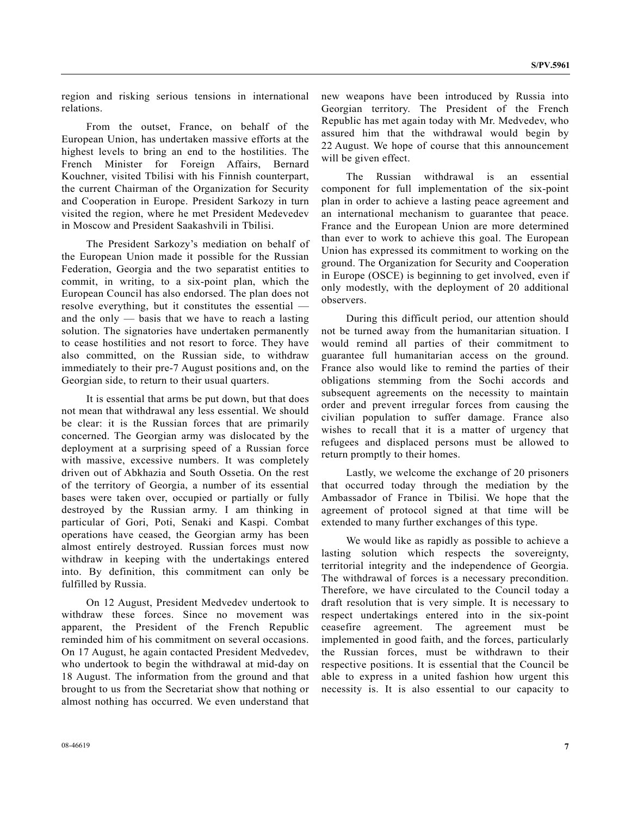region and risking serious tensions in international relations.

 From the outset, France, on behalf of the European Union, has undertaken massive efforts at the highest levels to bring an end to the hostilities. The French Minister for Foreign Affairs, Bernard Kouchner, visited Tbilisi with his Finnish counterpart, the current Chairman of the Organization for Security and Cooperation in Europe. President Sarkozy in turn visited the region, where he met President Medevedev in Moscow and President Saakashvili in Tbilisi.

 The President Sarkozy's mediation on behalf of the European Union made it possible for the Russian Federation, Georgia and the two separatist entities to commit, in writing, to a six-point plan, which the European Council has also endorsed. The plan does not resolve everything, but it constitutes the essential and the only  $-$  basis that we have to reach a lasting solution. The signatories have undertaken permanently to cease hostilities and not resort to force. They have also committed, on the Russian side, to withdraw immediately to their pre-7 August positions and, on the Georgian side, to return to their usual quarters.

 It is essential that arms be put down, but that does not mean that withdrawal any less essential. We should be clear: it is the Russian forces that are primarily concerned. The Georgian army was dislocated by the deployment at a surprising speed of a Russian force with massive, excessive numbers. It was completely driven out of Abkhazia and South Ossetia. On the rest of the territory of Georgia, a number of its essential bases were taken over, occupied or partially or fully destroyed by the Russian army. I am thinking in particular of Gori, Poti, Senaki and Kaspi. Combat operations have ceased, the Georgian army has been almost entirely destroyed. Russian forces must now withdraw in keeping with the undertakings entered into. By definition, this commitment can only be fulfilled by Russia.

 On 12 August, President Medvedev undertook to withdraw these forces. Since no movement was apparent, the President of the French Republic reminded him of his commitment on several occasions. On 17 August, he again contacted President Medvedev, who undertook to begin the withdrawal at mid-day on 18 August. The information from the ground and that brought to us from the Secretariat show that nothing or almost nothing has occurred. We even understand that new weapons have been introduced by Russia into Georgian territory. The President of the French Republic has met again today with Mr. Medvedev, who assured him that the withdrawal would begin by 22 August. We hope of course that this announcement will be given effect.

 The Russian withdrawal is an essential component for full implementation of the six-point plan in order to achieve a lasting peace agreement and an international mechanism to guarantee that peace. France and the European Union are more determined than ever to work to achieve this goal. The European Union has expressed its commitment to working on the ground. The Organization for Security and Cooperation in Europe (OSCE) is beginning to get involved, even if only modestly, with the deployment of 20 additional observers.

 During this difficult period, our attention should not be turned away from the humanitarian situation. I would remind all parties of their commitment to guarantee full humanitarian access on the ground. France also would like to remind the parties of their obligations stemming from the Sochi accords and subsequent agreements on the necessity to maintain order and prevent irregular forces from causing the civilian population to suffer damage. France also wishes to recall that it is a matter of urgency that refugees and displaced persons must be allowed to return promptly to their homes.

 Lastly, we welcome the exchange of 20 prisoners that occurred today through the mediation by the Ambassador of France in Tbilisi. We hope that the agreement of protocol signed at that time will be extended to many further exchanges of this type.

 We would like as rapidly as possible to achieve a lasting solution which respects the sovereignty, territorial integrity and the independence of Georgia. The withdrawal of forces is a necessary precondition. Therefore, we have circulated to the Council today a draft resolution that is very simple. It is necessary to respect undertakings entered into in the six-point ceasefire agreement. The agreement must be implemented in good faith, and the forces, particularly the Russian forces, must be withdrawn to their respective positions. It is essential that the Council be able to express in a united fashion how urgent this necessity is. It is also essential to our capacity to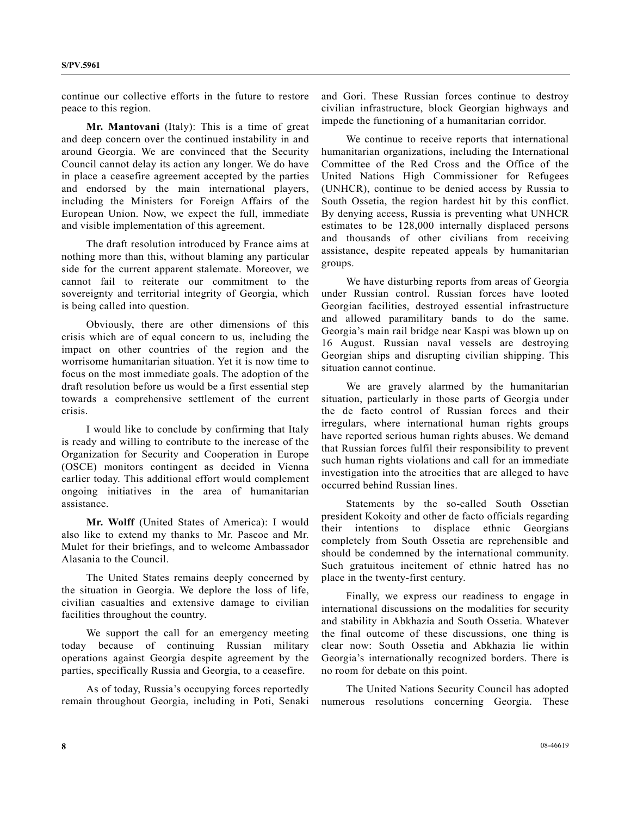continue our collective efforts in the future to restore peace to this region.

 **Mr. Mantovani** (Italy): This is a time of great and deep concern over the continued instability in and around Georgia. We are convinced that the Security Council cannot delay its action any longer. We do have in place a ceasefire agreement accepted by the parties and endorsed by the main international players, including the Ministers for Foreign Affairs of the European Union. Now, we expect the full, immediate and visible implementation of this agreement.

 The draft resolution introduced by France aims at nothing more than this, without blaming any particular side for the current apparent stalemate. Moreover, we cannot fail to reiterate our commitment to the sovereignty and territorial integrity of Georgia, which is being called into question.

 Obviously, there are other dimensions of this crisis which are of equal concern to us, including the impact on other countries of the region and the worrisome humanitarian situation. Yet it is now time to focus on the most immediate goals. The adoption of the draft resolution before us would be a first essential step towards a comprehensive settlement of the current crisis.

 I would like to conclude by confirming that Italy is ready and willing to contribute to the increase of the Organization for Security and Cooperation in Europe (OSCE) monitors contingent as decided in Vienna earlier today. This additional effort would complement ongoing initiatives in the area of humanitarian assistance.

 **Mr. Wolff** (United States of America): I would also like to extend my thanks to Mr. Pascoe and Mr. Mulet for their briefings, and to welcome Ambassador Alasania to the Council.

 The United States remains deeply concerned by the situation in Georgia. We deplore the loss of life, civilian casualties and extensive damage to civilian facilities throughout the country.

 We support the call for an emergency meeting today because of continuing Russian military operations against Georgia despite agreement by the parties, specifically Russia and Georgia, to a ceasefire.

 As of today, Russia's occupying forces reportedly remain throughout Georgia, including in Poti, Senaki and Gori. These Russian forces continue to destroy civilian infrastructure, block Georgian highways and impede the functioning of a humanitarian corridor.

 We continue to receive reports that international humanitarian organizations, including the International Committee of the Red Cross and the Office of the United Nations High Commissioner for Refugees (UNHCR), continue to be denied access by Russia to South Ossetia, the region hardest hit by this conflict. By denying access, Russia is preventing what UNHCR estimates to be 128,000 internally displaced persons and thousands of other civilians from receiving assistance, despite repeated appeals by humanitarian groups.

 We have disturbing reports from areas of Georgia under Russian control. Russian forces have looted Georgian facilities, destroyed essential infrastructure and allowed paramilitary bands to do the same. Georgia's main rail bridge near Kaspi was blown up on 16 August. Russian naval vessels are destroying Georgian ships and disrupting civilian shipping. This situation cannot continue.

 We are gravely alarmed by the humanitarian situation, particularly in those parts of Georgia under the de facto control of Russian forces and their irregulars, where international human rights groups have reported serious human rights abuses. We demand that Russian forces fulfil their responsibility to prevent such human rights violations and call for an immediate investigation into the atrocities that are alleged to have occurred behind Russian lines.

 Statements by the so-called South Ossetian president Kokoity and other de facto officials regarding their intentions to displace ethnic Georgians completely from South Ossetia are reprehensible and should be condemned by the international community. Such gratuitous incitement of ethnic hatred has no place in the twenty-first century.

 Finally, we express our readiness to engage in international discussions on the modalities for security and stability in Abkhazia and South Ossetia. Whatever the final outcome of these discussions, one thing is clear now: South Ossetia and Abkhazia lie within Georgia's internationally recognized borders. There is no room for debate on this point.

 The United Nations Security Council has adopted numerous resolutions concerning Georgia. These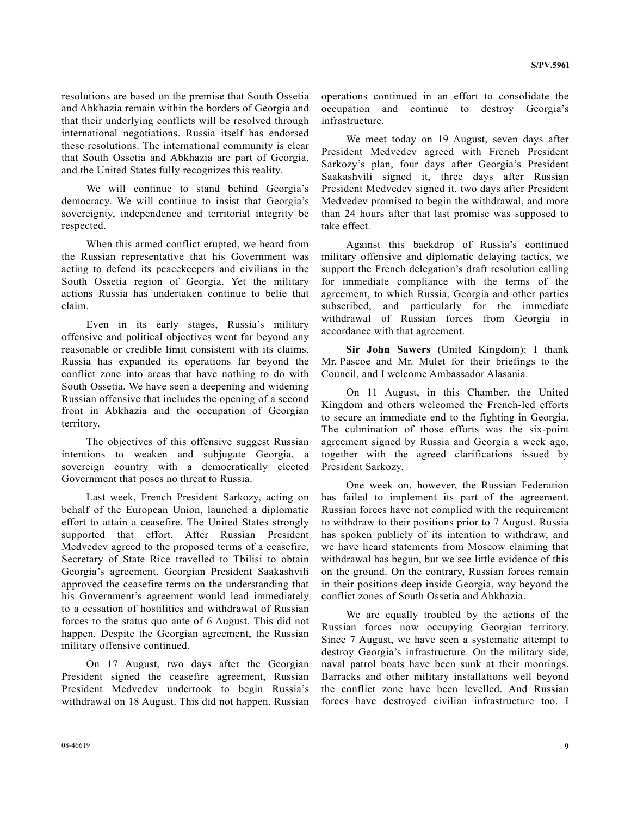resolutions are based on the premise that South Ossetia and Abkhazia remain within the borders of Georgia and that their underlying conflicts will be resolved through international negotiations. Russia itself has endorsed these resolutions. The international community is clear that South Ossetia and Abkhazia are part of Georgia, and the United States fully recognizes this reality.

 We will continue to stand behind Georgia's democracy. We will continue to insist that Georgia's sovereignty, independence and territorial integrity be respected.

 When this armed conflict erupted, we heard from the Russian representative that his Government was acting to defend its peacekeepers and civilians in the South Ossetia region of Georgia. Yet the military actions Russia has undertaken continue to belie that claim.

 Even in its early stages, Russia's military offensive and political objectives went far beyond any reasonable or credible limit consistent with its claims. Russia has expanded its operations far beyond the conflict zone into areas that have nothing to do with South Ossetia. We have seen a deepening and widening Russian offensive that includes the opening of a second front in Abkhazia and the occupation of Georgian territory.

 The objectives of this offensive suggest Russian intentions to weaken and subjugate Georgia, a sovereign country with a democratically elected Government that poses no threat to Russia.

 Last week, French President Sarkozy, acting on behalf of the European Union, launched a diplomatic effort to attain a ceasefire. The United States strongly supported that effort. After Russian President Medvedev agreed to the proposed terms of a ceasefire, Secretary of State Rice travelled to Tbilisi to obtain Georgia's agreement. Georgian President Saakashvili approved the ceasefire terms on the understanding that his Government's agreement would lead immediately to a cessation of hostilities and withdrawal of Russian forces to the status quo ante of 6 August. This did not happen. Despite the Georgian agreement, the Russian military offensive continued.

 On 17 August, two days after the Georgian President signed the ceasefire agreement, Russian President Medvedev undertook to begin Russia's withdrawal on 18 August. This did not happen. Russian operations continued in an effort to consolidate the occupation and continue to destroy Georgia's infrastructure.

 We meet today on 19 August, seven days after President Medvedev agreed with French President Sarkozy's plan, four days after Georgia's President Saakashvili signed it, three days after Russian President Medvedev signed it, two days after President Medvedev promised to begin the withdrawal, and more than 24 hours after that last promise was supposed to take effect.

 Against this backdrop of Russia's continued military offensive and diplomatic delaying tactics, we support the French delegation's draft resolution calling for immediate compliance with the terms of the agreement, to which Russia, Georgia and other parties subscribed, and particularly for the immediate withdrawal of Russian forces from Georgia in accordance with that agreement.

 **Sir John Sawers** (United Kingdom): I thank Mr. Pascoe and Mr. Mulet for their briefings to the Council, and I welcome Ambassador Alasania.

 On 11 August, in this Chamber, the United Kingdom and others welcomed the French-led efforts to secure an immediate end to the fighting in Georgia. The culmination of those efforts was the six-point agreement signed by Russia and Georgia a week ago, together with the agreed clarifications issued by President Sarkozy.

 One week on, however, the Russian Federation has failed to implement its part of the agreement. Russian forces have not complied with the requirement to withdraw to their positions prior to 7 August. Russia has spoken publicly of its intention to withdraw, and we have heard statements from Moscow claiming that withdrawal has begun, but we see little evidence of this on the ground. On the contrary, Russian forces remain in their positions deep inside Georgia, way beyond the conflict zones of South Ossetia and Abkhazia.

 We are equally troubled by the actions of the Russian forces now occupying Georgian territory. Since 7 August, we have seen a systematic attempt to destroy Georgia's infrastructure. On the military side, naval patrol boats have been sunk at their moorings. Barracks and other military installations well beyond the conflict zone have been levelled. And Russian forces have destroyed civilian infrastructure too. I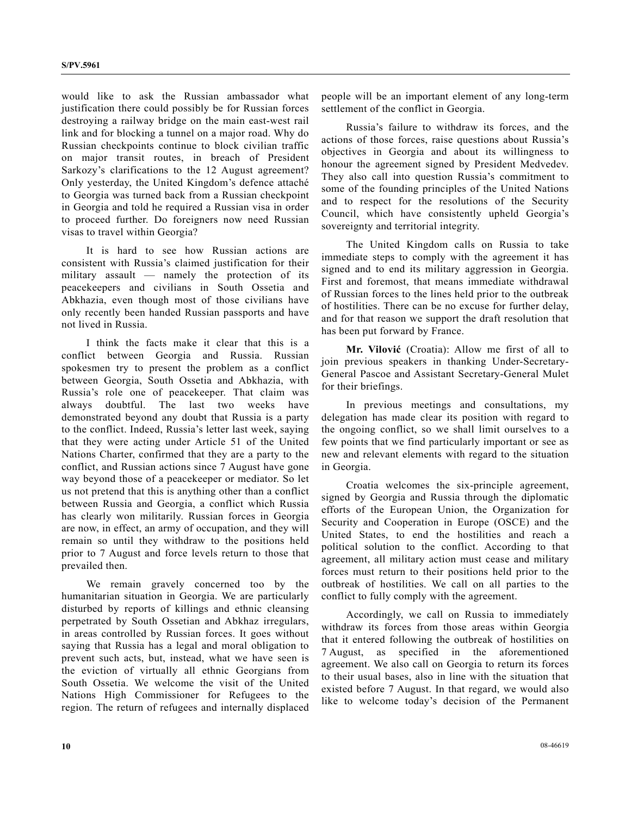would like to ask the Russian ambassador what justification there could possibly be for Russian forces destroying a railway bridge on the main east-west rail link and for blocking a tunnel on a major road. Why do Russian checkpoints continue to block civilian traffic on major transit routes, in breach of President Sarkozy's clarifications to the 12 August agreement? Only yesterday, the United Kingdom's defence attaché to Georgia was turned back from a Russian checkpoint in Georgia and told he required a Russian visa in order to proceed further. Do foreigners now need Russian visas to travel within Georgia?

 It is hard to see how Russian actions are consistent with Russia's claimed justification for their military assault — namely the protection of its peacekeepers and civilians in South Ossetia and Abkhazia, even though most of those civilians have only recently been handed Russian passports and have not lived in Russia.

 I think the facts make it clear that this is a conflict between Georgia and Russia. Russian spokesmen try to present the problem as a conflict between Georgia, South Ossetia and Abkhazia, with Russia's role one of peacekeeper. That claim was always doubtful. The last two weeks have demonstrated beyond any doubt that Russia is a party to the conflict. Indeed, Russia's letter last week, saying that they were acting under Article 51 of the United Nations Charter, confirmed that they are a party to the conflict, and Russian actions since 7 August have gone way beyond those of a peacekeeper or mediator. So let us not pretend that this is anything other than a conflict between Russia and Georgia, a conflict which Russia has clearly won militarily. Russian forces in Georgia are now, in effect, an army of occupation, and they will remain so until they withdraw to the positions held prior to 7 August and force levels return to those that prevailed then.

 We remain gravely concerned too by the humanitarian situation in Georgia. We are particularly disturbed by reports of killings and ethnic cleansing perpetrated by South Ossetian and Abkhaz irregulars, in areas controlled by Russian forces. It goes without saying that Russia has a legal and moral obligation to prevent such acts, but, instead, what we have seen is the eviction of virtually all ethnic Georgians from South Ossetia. We welcome the visit of the United Nations High Commissioner for Refugees to the region. The return of refugees and internally displaced

people will be an important element of any long-term settlement of the conflict in Georgia.

 Russia's failure to withdraw its forces, and the actions of those forces, raise questions about Russia's objectives in Georgia and about its willingness to honour the agreement signed by President Medvedev. They also call into question Russia's commitment to some of the founding principles of the United Nations and to respect for the resolutions of the Security Council, which have consistently upheld Georgia's sovereignty and territorial integrity.

 The United Kingdom calls on Russia to take immediate steps to comply with the agreement it has signed and to end its military aggression in Georgia. First and foremost, that means immediate withdrawal of Russian forces to the lines held prior to the outbreak of hostilities. There can be no excuse for further delay, and for that reason we support the draft resolution that has been put forward by France.

 **Mr. Vilović** (Croatia): Allow me first of all to join previous speakers in thanking Under-Secretary-General Pascoe and Assistant Secretary-General Mulet for their briefings.

 In previous meetings and consultations, my delegation has made clear its position with regard to the ongoing conflict, so we shall limit ourselves to a few points that we find particularly important or see as new and relevant elements with regard to the situation in Georgia.

 Croatia welcomes the six-principle agreement, signed by Georgia and Russia through the diplomatic efforts of the European Union, the Organization for Security and Cooperation in Europe (OSCE) and the United States, to end the hostilities and reach a political solution to the conflict. According to that agreement, all military action must cease and military forces must return to their positions held prior to the outbreak of hostilities. We call on all parties to the conflict to fully comply with the agreement.

 Accordingly, we call on Russia to immediately withdraw its forces from those areas within Georgia that it entered following the outbreak of hostilities on 7 August, as specified in the aforementioned agreement. We also call on Georgia to return its forces to their usual bases, also in line with the situation that existed before 7 August. In that regard, we would also like to welcome today's decision of the Permanent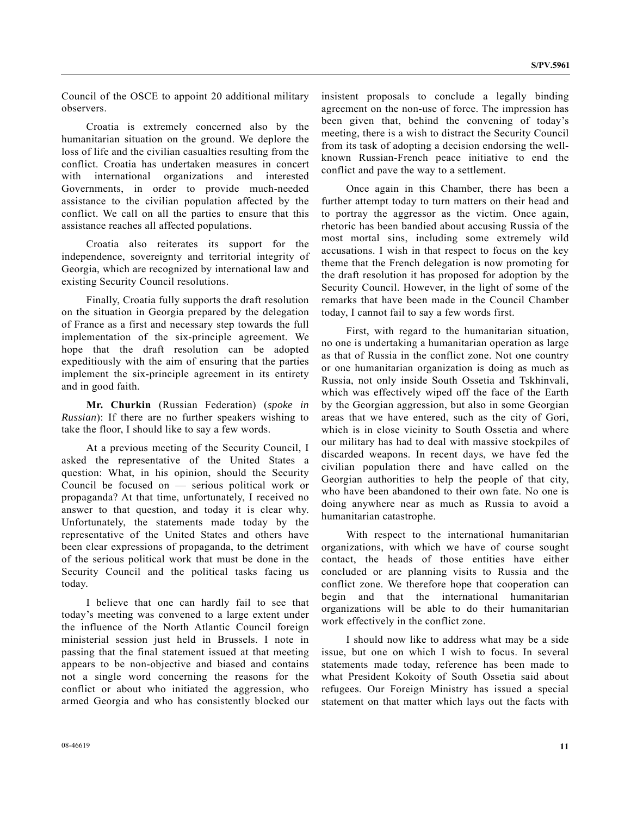Council of the OSCE to appoint 20 additional military observers.

 Croatia is extremely concerned also by the humanitarian situation on the ground. We deplore the loss of life and the civilian casualties resulting from the conflict. Croatia has undertaken measures in concert with international organizations and interested Governments, in order to provide much-needed assistance to the civilian population affected by the conflict. We call on all the parties to ensure that this assistance reaches all affected populations.

 Croatia also reiterates its support for the independence, sovereignty and territorial integrity of Georgia, which are recognized by international law and existing Security Council resolutions.

 Finally, Croatia fully supports the draft resolution on the situation in Georgia prepared by the delegation of France as a first and necessary step towards the full implementation of the six-principle agreement. We hope that the draft resolution can be adopted expeditiously with the aim of ensuring that the parties implement the six-principle agreement in its entirety and in good faith.

**Mr. Churkin** (Russian Federation) (*spoke in Russian*): If there are no further speakers wishing to take the floor, I should like to say a few words.

 At a previous meeting of the Security Council, I asked the representative of the United States a question: What, in his opinion, should the Security Council be focused on — serious political work or propaganda? At that time, unfortunately, I received no answer to that question, and today it is clear why. Unfortunately, the statements made today by the representative of the United States and others have been clear expressions of propaganda, to the detriment of the serious political work that must be done in the Security Council and the political tasks facing us today.

 I believe that one can hardly fail to see that today's meeting was convened to a large extent under the influence of the North Atlantic Council foreign ministerial session just held in Brussels. I note in passing that the final statement issued at that meeting appears to be non-objective and biased and contains not a single word concerning the reasons for the conflict or about who initiated the aggression, who armed Georgia and who has consistently blocked our insistent proposals to conclude a legally binding agreement on the non-use of force. The impression has been given that, behind the convening of today's meeting, there is a wish to distract the Security Council from its task of adopting a decision endorsing the wellknown Russian-French peace initiative to end the conflict and pave the way to a settlement.

 Once again in this Chamber, there has been a further attempt today to turn matters on their head and to portray the aggressor as the victim. Once again, rhetoric has been bandied about accusing Russia of the most mortal sins, including some extremely wild accusations. I wish in that respect to focus on the key theme that the French delegation is now promoting for the draft resolution it has proposed for adoption by the Security Council. However, in the light of some of the remarks that have been made in the Council Chamber today, I cannot fail to say a few words first.

 First, with regard to the humanitarian situation, no one is undertaking a humanitarian operation as large as that of Russia in the conflict zone. Not one country or one humanitarian organization is doing as much as Russia, not only inside South Ossetia and Tskhinvali, which was effectively wiped off the face of the Earth by the Georgian aggression, but also in some Georgian areas that we have entered, such as the city of Gori, which is in close vicinity to South Ossetia and where our military has had to deal with massive stockpiles of discarded weapons. In recent days, we have fed the civilian population there and have called on the Georgian authorities to help the people of that city, who have been abandoned to their own fate. No one is doing anywhere near as much as Russia to avoid a humanitarian catastrophe.

 With respect to the international humanitarian organizations, with which we have of course sought contact, the heads of those entities have either concluded or are planning visits to Russia and the conflict zone. We therefore hope that cooperation can begin and that the international humanitarian organizations will be able to do their humanitarian work effectively in the conflict zone.

 I should now like to address what may be a side issue, but one on which I wish to focus. In several statements made today, reference has been made to what President Kokoity of South Ossetia said about refugees. Our Foreign Ministry has issued a special statement on that matter which lays out the facts with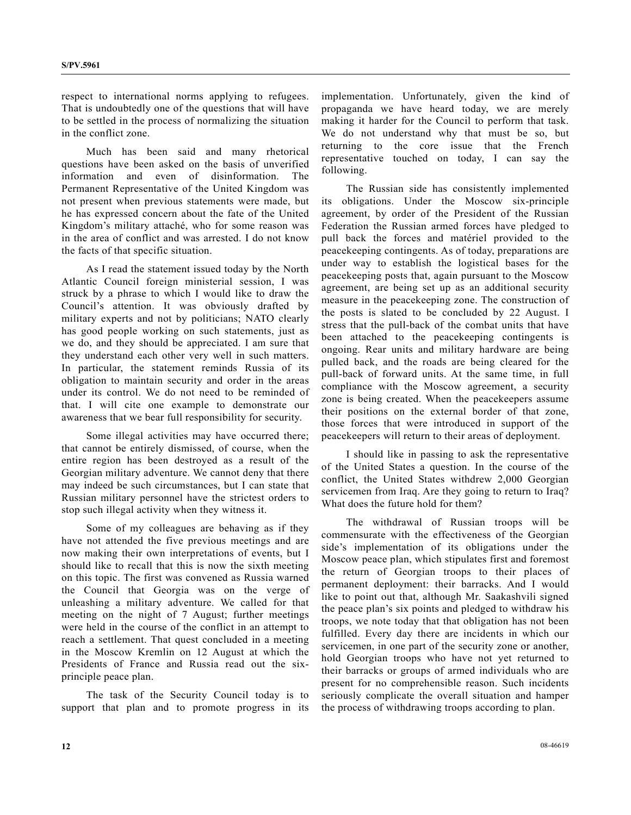respect to international norms applying to refugees. That is undoubtedly one of the questions that will have to be settled in the process of normalizing the situation in the conflict zone.

 Much has been said and many rhetorical questions have been asked on the basis of unverified information and even of disinformation. Permanent Representative of the United Kingdom was not present when previous statements were made, but he has expressed concern about the fate of the United Kingdom's military attaché, who for some reason was in the area of conflict and was arrested. I do not know the facts of that specific situation.

 As I read the statement issued today by the North Atlantic Council foreign ministerial session, I was struck by a phrase to which I would like to draw the Council's attention. It was obviously drafted by military experts and not by politicians; NATO clearly has good people working on such statements, just as we do, and they should be appreciated. I am sure that they understand each other very well in such matters. In particular, the statement reminds Russia of its obligation to maintain security and order in the areas under its control. We do not need to be reminded of that. I will cite one example to demonstrate our awareness that we bear full responsibility for security.

 Some illegal activities may have occurred there; that cannot be entirely dismissed, of course, when the entire region has been destroyed as a result of the Georgian military adventure. We cannot deny that there may indeed be such circumstances, but I can state that Russian military personnel have the strictest orders to stop such illegal activity when they witness it.

 Some of my colleagues are behaving as if they have not attended the five previous meetings and are now making their own interpretations of events, but I should like to recall that this is now the sixth meeting on this topic. The first was convened as Russia warned the Council that Georgia was on the verge of unleashing a military adventure. We called for that meeting on the night of 7 August; further meetings were held in the course of the conflict in an attempt to reach a settlement. That quest concluded in a meeting in the Moscow Kremlin on 12 August at which the Presidents of France and Russia read out the sixprinciple peace plan.

 The task of the Security Council today is to support that plan and to promote progress in its implementation. Unfortunately, given the kind of propaganda we have heard today, we are merely making it harder for the Council to perform that task. We do not understand why that must be so, but returning to the core issue that the French representative touched on today, I can say the following.

 The Russian side has consistently implemented its obligations. Under the Moscow six-principle agreement, by order of the President of the Russian Federation the Russian armed forces have pledged to pull back the forces and matériel provided to the peacekeeping contingents. As of today, preparations are under way to establish the logistical bases for the peacekeeping posts that, again pursuant to the Moscow agreement, are being set up as an additional security measure in the peacekeeping zone. The construction of the posts is slated to be concluded by 22 August. I stress that the pull-back of the combat units that have been attached to the peacekeeping contingents is ongoing. Rear units and military hardware are being pulled back, and the roads are being cleared for the pull-back of forward units. At the same time, in full compliance with the Moscow agreement, a security zone is being created. When the peacekeepers assume their positions on the external border of that zone, those forces that were introduced in support of the peacekeepers will return to their areas of deployment.

 I should like in passing to ask the representative of the United States a question. In the course of the conflict, the United States withdrew 2,000 Georgian servicemen from Iraq. Are they going to return to Iraq? What does the future hold for them?

 The withdrawal of Russian troops will be commensurate with the effectiveness of the Georgian side's implementation of its obligations under the Moscow peace plan, which stipulates first and foremost the return of Georgian troops to their places of permanent deployment: their barracks. And I would like to point out that, although Mr. Saakashvili signed the peace plan's six points and pledged to withdraw his troops, we note today that that obligation has not been fulfilled. Every day there are incidents in which our servicemen, in one part of the security zone or another, hold Georgian troops who have not yet returned to their barracks or groups of armed individuals who are present for no comprehensible reason. Such incidents seriously complicate the overall situation and hamper the process of withdrawing troops according to plan.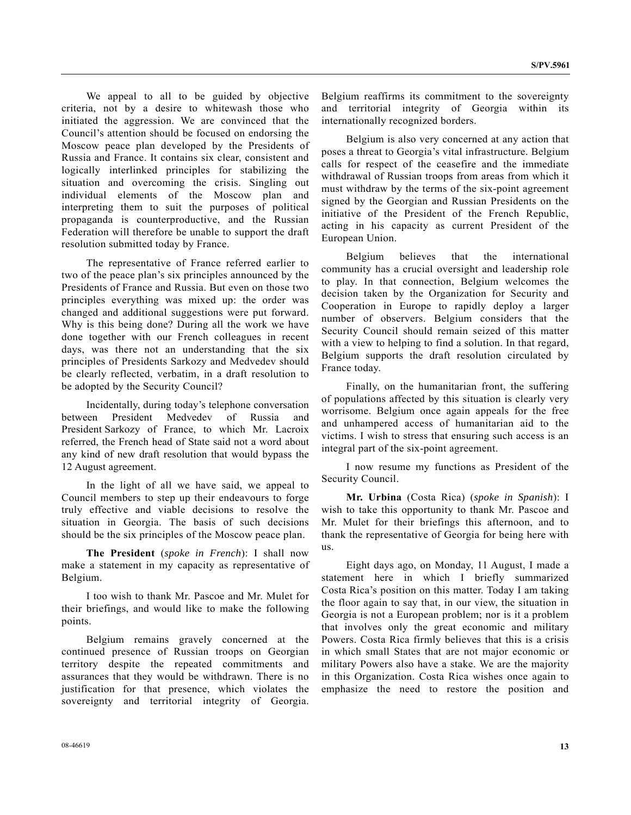We appeal to all to be guided by objective criteria, not by a desire to whitewash those who initiated the aggression. We are convinced that the Council's attention should be focused on endorsing the Moscow peace plan developed by the Presidents of Russia and France. It contains six clear, consistent and logically interlinked principles for stabilizing the situation and overcoming the crisis. Singling out individual elements of the Moscow plan and interpreting them to suit the purposes of political propaganda is counterproductive, and the Russian Federation will therefore be unable to support the draft resolution submitted today by France.

 The representative of France referred earlier to two of the peace plan's six principles announced by the Presidents of France and Russia. But even on those two principles everything was mixed up: the order was changed and additional suggestions were put forward. Why is this being done? During all the work we have done together with our French colleagues in recent days, was there not an understanding that the six principles of Presidents Sarkozy and Medvedev should be clearly reflected, verbatim, in a draft resolution to be adopted by the Security Council?

 Incidentally, during today's telephone conversation between President Medvedev of Russia and President Sarkozy of France, to which Mr. Lacroix referred, the French head of State said not a word about any kind of new draft resolution that would bypass the 12 August agreement.

 In the light of all we have said, we appeal to Council members to step up their endeavours to forge truly effective and viable decisions to resolve the situation in Georgia. The basis of such decisions should be the six principles of the Moscow peace plan.

 **The President** (*spoke in French*): I shall now make a statement in my capacity as representative of Belgium.

 I too wish to thank Mr. Pascoe and Mr. Mulet for their briefings, and would like to make the following points.

 Belgium remains gravely concerned at the continued presence of Russian troops on Georgian territory despite the repeated commitments and assurances that they would be withdrawn. There is no justification for that presence, which violates the sovereignty and territorial integrity of Georgia.

Belgium reaffirms its commitment to the sovereignty and territorial integrity of Georgia within its internationally recognized borders.

 Belgium is also very concerned at any action that poses a threat to Georgia's vital infrastructure. Belgium calls for respect of the ceasefire and the immediate withdrawal of Russian troops from areas from which it must withdraw by the terms of the six-point agreement signed by the Georgian and Russian Presidents on the initiative of the President of the French Republic, acting in his capacity as current President of the European Union.

 Belgium believes that the international community has a crucial oversight and leadership role to play. In that connection, Belgium welcomes the decision taken by the Organization for Security and Cooperation in Europe to rapidly deploy a larger number of observers. Belgium considers that the Security Council should remain seized of this matter with a view to helping to find a solution. In that regard, Belgium supports the draft resolution circulated by France today.

 Finally, on the humanitarian front, the suffering of populations affected by this situation is clearly very worrisome. Belgium once again appeals for the free and unhampered access of humanitarian aid to the victims. I wish to stress that ensuring such access is an integral part of the six-point agreement.

 I now resume my functions as President of the Security Council.

**Mr. Urbina** (Costa Rica) (*spoke in Spanish*): I wish to take this opportunity to thank Mr. Pascoe and Mr. Mulet for their briefings this afternoon, and to thank the representative of Georgia for being here with us.

 Eight days ago, on Monday, 11 August, I made a statement here in which I briefly summarized Costa Rica's position on this matter. Today I am taking the floor again to say that, in our view, the situation in Georgia is not a European problem; nor is it a problem that involves only the great economic and military Powers. Costa Rica firmly believes that this is a crisis in which small States that are not major economic or military Powers also have a stake. We are the majority in this Organization. Costa Rica wishes once again to emphasize the need to restore the position and